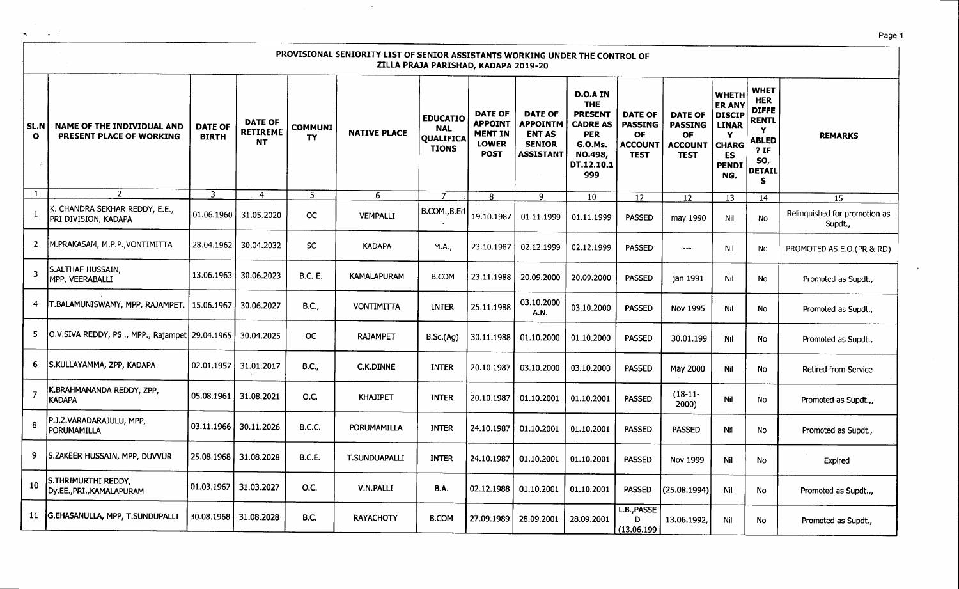|                             |                                                               |                                |                                                |                      | PROVISIONAL SENIORITY LIST OF SENIOR ASSISTANTS WORKING UNDER THE CONTROL OF | ZILLA PRAJA PARISHAD, KADAPA 2019-20                              |                                                                                   |                                                                                         |                                                                                                                                    |                                                                                |                                                                                |                                                                                                                  |                                                                                                                        |                                          |
|-----------------------------|---------------------------------------------------------------|--------------------------------|------------------------------------------------|----------------------|------------------------------------------------------------------------------|-------------------------------------------------------------------|-----------------------------------------------------------------------------------|-----------------------------------------------------------------------------------------|------------------------------------------------------------------------------------------------------------------------------------|--------------------------------------------------------------------------------|--------------------------------------------------------------------------------|------------------------------------------------------------------------------------------------------------------|------------------------------------------------------------------------------------------------------------------------|------------------------------------------|
| <b>SL.N</b><br>$\mathbf{o}$ | <b>NAME OF THE INDIVIDUAL AND</b><br>PRESENT PLACE OF WORKING | <b>DATE OF</b><br><b>BIRTH</b> | <b>DATE OF</b><br><b>RETIREME</b><br><b>NT</b> | <b>COMMUNI</b><br>TY | <b>NATIVE PLACE</b>                                                          | <b>EDUCATIO</b><br><b>NAL</b><br><b>QUALIFICA</b><br><b>TIONS</b> | <b>DATE OF</b><br><b>APPOINT</b><br><b>MENT IN</b><br><b>LOWER</b><br><b>POST</b> | <b>DATE OF</b><br><b>APPOINTM</b><br><b>ENT AS</b><br><b>SENIOR</b><br><b>ASSISTANT</b> | <b>D.O.A IN</b><br><b>THE</b><br><b>PRESENT</b><br><b>CADRE AS</b><br><b>PER</b><br><b>G.O.Ms.</b><br>NO.498,<br>DT.12.10.1<br>999 | <b>DATE OF</b><br><b>PASSING</b><br><b>OF</b><br><b>ACCOUNT</b><br><b>TEST</b> | <b>DATE OF</b><br><b>PASSING</b><br><b>OF</b><br><b>ACCOUNT</b><br><b>TEST</b> | <b>WHETH</b><br><b>ER ANY</b><br><b>DISCIP</b><br><b>LINAR</b><br>Y<br><b>CHARG</b><br>ES<br><b>PENDI</b><br>NG. | <b>WHET</b><br><b>HER</b><br><b>DIFFE</b><br><b>RENTL</b><br>Y<br><b>ABLED</b><br>$?$ IF<br>SO,<br><b>DETAIL</b><br>S. | <b>REMARKS</b>                           |
| $\mathbf{1}$                | $\overline{2}$                                                | 3                              | $\overline{4}$                                 | 5                    | 6.                                                                           |                                                                   | 8                                                                                 | 9                                                                                       | 10                                                                                                                                 | $\overline{12}$                                                                | 12                                                                             | 13                                                                                                               | 14                                                                                                                     | 15                                       |
|                             | K. CHANDRA SEKHAR REDDY, E.E.,<br>PRI DIVISION, KADAPA        | 01.06.1960                     | 31.05.2020                                     | <b>OC</b>            | <b>VEMPALLI</b>                                                              | B.COM., B.Ed                                                      | 19.10.1987                                                                        | 01.11.1999                                                                              | 01.11.1999                                                                                                                         | <b>PASSED</b>                                                                  | may 1990                                                                       | Nil                                                                                                              | No                                                                                                                     | Relinquished for promotion as<br>Supdt., |
| 2                           | M.PRAKASAM, M.P.P., VONTIMITTA                                | 28.04.1962                     | 30.04.2032                                     | SC                   | <b>KADAPA</b>                                                                | M.A.,                                                             | 23.10.1987                                                                        | 02.12.1999                                                                              | 02.12.1999                                                                                                                         | <b>PASSED</b>                                                                  | $\sim$ $\sim$ $\sim$                                                           | Nil                                                                                                              | No                                                                                                                     | PROMOTED AS E.O.(PR & RD)                |
| 3                           | S.ALTHAF HUSSAIN,<br>MPP, VEERABALLI                          | 13.06.1963                     | 30.06.2023                                     | <b>B.C. E.</b>       | <b>KAMALAPURAM</b>                                                           | <b>B.COM</b>                                                      | 23.11.1988                                                                        | 20.09.2000                                                                              | 20.09.2000                                                                                                                         | <b>PASSED</b>                                                                  | jan 1991                                                                       | Nil                                                                                                              | No                                                                                                                     | Promoted as Supdt.,                      |
| 4                           | T.BALAMUNISWAMY, MPP, RAJAMPET.   15.06.1967                  |                                | 30.06.2027                                     | <b>B.C.,</b>         | <b>VONTIMITTA</b>                                                            | <b>INTER</b>                                                      | 25.11.1988                                                                        | 03.10.2000<br>A.N.                                                                      | 03.10.2000                                                                                                                         | <b>PASSED</b>                                                                  | Nov 1995                                                                       | Nil                                                                                                              | No                                                                                                                     | Promoted as Supdt.,                      |
| 5                           | O.V.SIVA REDDY, PS., MPP., Rajampet 29.04.1965                |                                | 30.04.2025                                     | $_{\rm OC}$          | <b>RAJAMPET</b>                                                              | B.Sc.(Ag)                                                         | 30.11.1988                                                                        | 01.10.2000                                                                              | 01.10.2000                                                                                                                         | <b>PASSED</b>                                                                  | 30.01.199                                                                      | Nil                                                                                                              | No                                                                                                                     | Promoted as Supdt.,                      |
| 6                           | S.KULLAYAMMA, ZPP, KADAPA                                     | 02.01.1957                     | 31.01.2017                                     | <b>B.C.,</b>         | C.K.DINNE                                                                    | <b>INTER</b>                                                      | 20.10.1987                                                                        | 03.10.2000                                                                              | 03.10.2000                                                                                                                         | <b>PASSED</b>                                                                  | May 2000                                                                       | Nil                                                                                                              | <b>No</b>                                                                                                              | Retired from Service                     |
| $\overline{7}$              | K.BRAHMANANDA REDDY, ZPP,<br><b>KADAPA</b>                    | 05.08.1961                     | 31.08.2021                                     | O.C.                 | <b>KHAJIPET</b>                                                              | <b>INTER</b>                                                      | 20.10.1987                                                                        | 01.10.2001                                                                              | 01.10.2001                                                                                                                         | <b>PASSED</b>                                                                  | $(18-11-$<br>2000)                                                             | Nil                                                                                                              | No                                                                                                                     | Promoted as Supdt.,,                     |
| -8                          | P.J.Z.VARADARAJULU, MPP,<br>PORUMAMILLA                       | 03.11.1966                     | 30.11.2026                                     | B.C.C.               | PORUMAMILLA                                                                  | <b>INTER</b>                                                      | 24.10.1987                                                                        | 01.10.2001                                                                              | 01.10.2001                                                                                                                         | <b>PASSED</b>                                                                  | <b>PASSED</b>                                                                  | Nil                                                                                                              | No.                                                                                                                    | Promoted as Supdt.,                      |
| 9                           | S.ZAKEER HUSSAIN, MPP, DUVVUR                                 | 25.08.1968                     | 31.08.2028                                     | B.C.E.               | T.SUNDUAPALLI                                                                | <b>INTER</b>                                                      | 24.10.1987                                                                        | 01.10.2001                                                                              | 01.10.2001                                                                                                                         | <b>PASSED</b>                                                                  | Nov 1999                                                                       | Nil                                                                                                              | No                                                                                                                     | Expired                                  |
| 10                          | S.THRIMURTHI REDDY,<br>Dy.EE., PRI., KAMALAPURAM              | 01.03.1967                     | 31.03.2027                                     | O.C.                 | V.N.PALLI                                                                    | <b>B.A.</b>                                                       | 02.12.1988                                                                        | 01.10.2001                                                                              | 01.10.2001                                                                                                                         | <b>PASSED</b>                                                                  | (25.08.1994)                                                                   | Nil                                                                                                              | <b>No</b>                                                                                                              | Promoted as Supdt.,,                     |
| 11                          | G.EHASANULLA, MPP, T.SUNDUPALLI                               | 30.08.1968                     | 31.08.2028                                     | <b>B.C.</b>          | <b>RAYACHOTY</b>                                                             | <b>B.COM</b>                                                      | 27.09.1989                                                                        | 28.09.2001                                                                              | 28.09.2001                                                                                                                         | L.B., PASSE<br>D<br>(13.06.199                                                 | 13.06.1992,                                                                    | Nil                                                                                                              | <b>No</b>                                                                                                              | Promoted as Supdt.,                      |

 $\sim$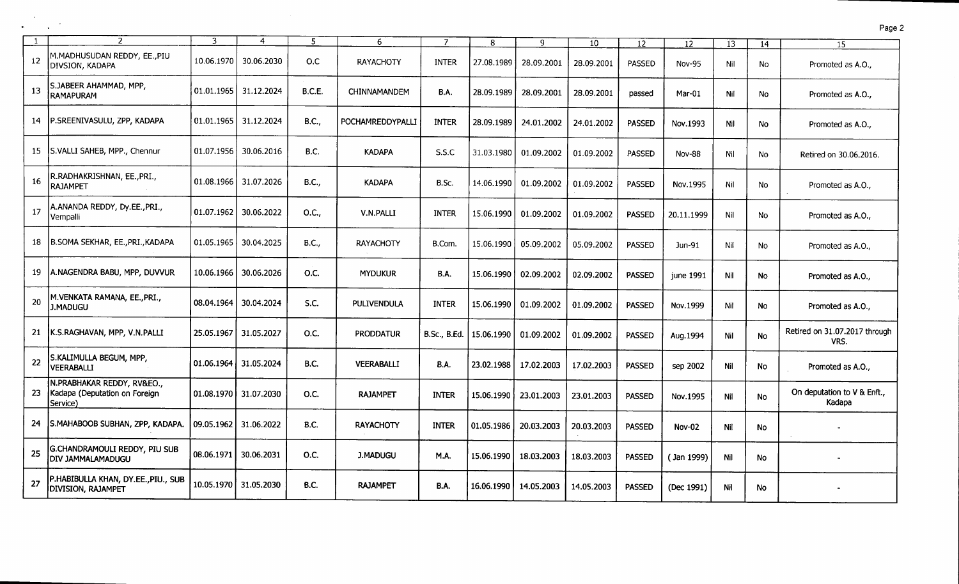| $\mathbf{1}$ | $\overline{\phantom{a}}$                                                | 3          | 4                     | 5             | 6                  | $\overline{7}$      | 8          | 9          | 10         | 12            | 12            | 13  | 14        | 15                                    |
|--------------|-------------------------------------------------------------------------|------------|-----------------------|---------------|--------------------|---------------------|------------|------------|------------|---------------|---------------|-----|-----------|---------------------------------------|
| 12           | M.MADHUSUDAN REDDY, EE., PIU<br>DIVSION, KADAPA                         | 10.06.1970 | 30.06.2030            | O.C           | <b>RAYACHOTY</b>   | <b>INTER</b>        | 27.08.1989 | 28.09.2001 | 28.09.2001 | PASSED        | Nov-95        | Nil | No        | Promoted as A.O.,                     |
| -13          | S.JABEER AHAMMAD, MPP,<br>RAMAPURAM                                     | 01.01.1965 | 31.12.2024            | <b>B.C.E.</b> | CHINNAMANDEM       | <b>B.A.</b>         | 28.09.1989 | 28.09.2001 | 28.09.2001 | passed        | Mar-01        | Nil | No        | Promoted as A.O.,                     |
|              | 14   P.SREENIVASULU, ZPP, KADAPA                                        | 01.01.1965 | 31.12.2024            | <b>B.C.,</b>  | POCHAMREDDYPALLI   | INTER               | 28.09.1989 | 24.01.2002 | 24.01.2002 | <b>PASSED</b> | Nov.1993      | Nil | No        | Promoted as A.O.,                     |
| 15           | S.VALLI SAHEB, MPP., Chennur                                            | 01.07.1956 | 30.06.2016            | <b>B.C.</b>   | <b>KADAPA</b>      | S.S.C               | 31.03.1980 | 01.09.2002 | 01.09.2002 | PASSED        | <b>Nov-88</b> | Nil | No        | Retired on 30.06.2016.                |
| -16          | R.RADHAKRISHNAN, EE.,PRI.,<br><b>RAJAMPET</b>                           |            | 01.08.1966 31.07.2026 | B.C.,         | <b>KADAPA</b>      | B.Sc.               | 14.06.1990 | 01.09.2002 | 01.09.2002 | <b>PASSED</b> | Nov.1995      | Nil | No        | Promoted as A.O.,                     |
| -17          | A.ANANDA REDDY, Dy.EE., PRI.,<br>Vempalli                               | 01.07.1962 | 30.06.2022            | O.C.,         | V.N.PALLI          | <b>INTER</b>        | 15.06.1990 | 01.09.2002 | 01.09.2002 | <b>PASSED</b> | 20.11.1999    | Nil | No        | Promoted as A.O.,                     |
| 18           | B.SOMA SEKHAR, EE.,PRI.,KADAPA                                          | 01.05.1965 | 30.04.2025            | B.C.,         | <b>RAYACHOTY</b>   | B.Com.              | 15.06.1990 | 05.09.2002 | 05.09.2002 | <b>PASSED</b> | Jun-91        | Nil | No        | Promoted as A.O.,                     |
| 19           | A.NAGENDRA BABU, MPP, DUVVUR                                            | 10.06.1966 | 30.06.2026            | O.C.          | <b>MYDUKUR</b>     | B.A.                | 15.06.1990 | 02.09.2002 | 02.09.2002 | <b>PASSED</b> | june 1991     | Nil | <b>No</b> | Promoted as A.O.,                     |
| 20           | M.VENKATA RAMANA, EE., PRI.,<br><b>J.MADUGU</b>                         | 08.04.1964 | 30.04.2024            | S.C.          | <b>PULIVENDULA</b> | <b>INTER</b>        | 15.06.1990 | 01.09.2002 | 01.09.2002 | <b>PASSED</b> | Nov.1999      | Nil | No        | Promoted as A.O.,                     |
| 21           | K.S.RAGHAVAN, MPP, V.N.PALLI                                            | 25.05.1967 | 31.05.2027            | O.C.          | <b>PRODDATUR</b>   | <b>B.Sc., B.Ed.</b> | 15.06.1990 | 01.09.2002 | 01.09.2002 | <b>PASSED</b> | Aug.1994      | Nil | No        | Retired on 31.07.2017 through<br>VRS. |
| 22           | S.KALIMULLA BEGUM, MPP,<br><b>VEERABALLI</b>                            | 01.06.1964 | 31.05.2024            | <b>B.C.</b>   | <b>VEERABALLI</b>  | <b>B.A.</b>         | 23.02.1988 | 17.02.2003 | 17.02.2003 | <b>PASSED</b> | sep 2002      | Nil | No        | Promoted as A.O.,                     |
| 23           | N.PRABHAKAR REDDY, RV&EO.,<br>Kadapa (Deputation on Foreign<br>Service) | 01.08.1970 | 31.07.2030            | O.C.          | <b>RAJAMPET</b>    | <b>INTER</b>        | 15.06.1990 | 23.01.2003 | 23.01.2003 | <b>PASSED</b> | Nov.1995      | Nil | <b>No</b> | On deputation to V & Enft.,<br>Kadapa |
| 24           | S.MAHABOOB SUBHAN, ZPP, KADAPA.                                         | 09.05.1962 | 31.06.2022            | <b>B.C.</b>   | <b>RAYACHOTY</b>   | <b>INTER</b>        | 01.05.1986 | 20.03.2003 | 20.03.2003 | <b>PASSED</b> | <b>Nov-02</b> | Nil | No        |                                       |
| 25           | G.CHANDRAMOULI REDDY, PIU SUB<br>DIV JAMMALAMADUGU                      | 08.06.1971 | 30.06.2031            | O.C.          | <b>J.MADUGU</b>    | M.A.                | 15.06.1990 | 18.03.2003 | 18.03.2003 | <b>PASSED</b> | (Jan 1999)    | Nil | <b>No</b> |                                       |
| 27           | P.HABIBULLA KHAN, DY.EE., PIU., SUB<br><b>DIVISION, RAJAMPET</b>        | 10.05.1970 | 31.05.2030            | <b>B.C.</b>   | <b>RAJAMPET</b>    | <b>B.A.</b>         | 16.06.1990 | 14.05.2003 | 14.05.2003 | <b>PASSED</b> | (Dec 1991)    | Nil | No.       |                                       |

 $\frac{1}{2} \frac{1}{2} \frac{d^2}{dx^2}$ 

 $\mathcal{L}^{\mathcal{L}}$ 

Page 2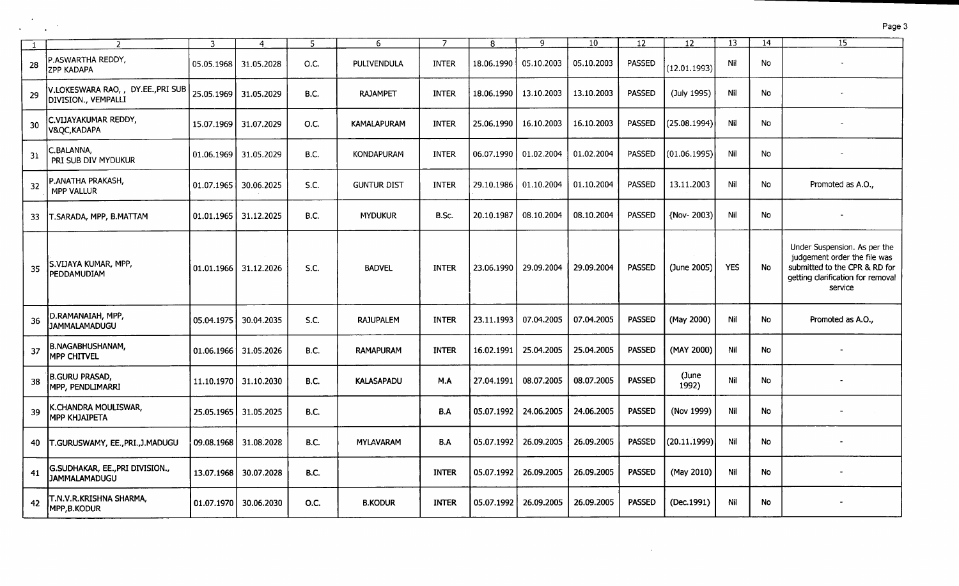|     |                                                           | З          | 4          | 5           | 6                  | $\overline{7}$ | 8          | 9          | 10 <sup>°</sup> | 12            | 12             | 13         | 14        | 15                                                                                                                                            |
|-----|-----------------------------------------------------------|------------|------------|-------------|--------------------|----------------|------------|------------|-----------------|---------------|----------------|------------|-----------|-----------------------------------------------------------------------------------------------------------------------------------------------|
| 28  | P.ASWARTHA REDDY,<br><b>ZPP KADAPA</b>                    | 05.05.1968 | 31.05.2028 | O.C.        | PULIVENDULA        | <b>INTER</b>   | 18.06.1990 | 05.10.2003 | 05.10.2003      | PASSED        | (12.01.1993)   | Nil        | No.       |                                                                                                                                               |
| 29  | V.LOKESWARA RAO, , DY.EE., PRI SUB<br>DIVISION., VEMPALLI | 25.05.1969 | 31.05.2029 | <b>B.C.</b> | <b>RAJAMPET</b>    | <b>INTER</b>   | 18.06.1990 | 13.10.2003 | 13.10.2003      | <b>PASSED</b> | (July 1995)    | Nil        | No        |                                                                                                                                               |
| -30 | C.VIJAYAKUMAR REDDY,<br>V&QC, KADAPA                      | 15.07.1969 | 31.07.2029 | O.C.        | <b>KAMALAPURAM</b> | <b>INTER</b>   | 25.06.1990 | 16.10.2003 | 16.10.2003      | <b>PASSED</b> | (25.08.1994)   | Nil        | No        |                                                                                                                                               |
| 31  | C.BALANNA,<br>PRI SUB DIV MYDUKUR                         | 01.06.1969 | 31.05.2029 | <b>B.C.</b> | <b>KONDAPURAM</b>  | <b>INTER</b>   | 06.07.1990 | 01.02.2004 | 01.02.2004      | <b>PASSED</b> | (01.06.1995)   | Nil        | No        |                                                                                                                                               |
| 32  | P.ANATHA PRAKASH,<br><b>MPP VALLUR</b>                    | 01.07.1965 | 30.06.2025 | S.C.        | <b>GUNTUR DIST</b> | <b>INTER</b>   | 29.10.1986 | 01.10.2004 | 01.10.2004      | <b>PASSED</b> | 13.11.2003     | Nil        | No.       | Promoted as A.O.,                                                                                                                             |
| 33  | T.SARADA, MPP, B.MATTAM                                   | 01.01.1965 | 31.12.2025 | B.C.        | <b>MYDUKUR</b>     | B.Sc.          | 20.10.1987 | 08.10.2004 | 08.10.2004      | <b>PASSED</b> | {Nov-2003)     | Nil        | No.       |                                                                                                                                               |
| -35 | S.VIJAYA KUMAR, MPP,<br>PEDDAMUDIAM                       | 01.01.1966 | 31.12.2026 | S.C.        | <b>BADVEL</b>      | <b>INTER</b>   | 23.06.1990 | 29.09.2004 | 29.09.2004      | <b>PASSED</b> | (June 2005)    | <b>YES</b> | <b>No</b> | Under Suspension. As per the<br>judgement order the file was<br>submitted to the CPR & RD for<br>getting clarification for removal<br>service |
| 36  | D.RAMANAIAH, MPP,<br><b>JAMMALAMADUGU</b>                 | 05.04.1975 | 30.04.2035 | S.C.        | <b>RAJUPALEM</b>   | <b>INTER</b>   | 23.11.1993 | 07.04.2005 | 07.04.2005      | <b>PASSED</b> | (May 2000)     | Nil        | No        | Promoted as A.O.,                                                                                                                             |
| 37  | <b>B.NAGABHUSHANAM,</b><br><b>MPP CHITVEL</b>             | 01.06.1966 | 31.05.2026 | B.C.        | <b>RAMAPURAM</b>   | <b>INTER</b>   | 16.02.1991 | 25.04.2005 | 25.04.2005      | <b>PASSED</b> | (MAY 2000)     | Nil        | <b>No</b> |                                                                                                                                               |
| 38  | <b>B.GURU PRASAD,</b><br>MPP, PENDLIMARRI                 | 11.10.1970 | 31.10.2030 | <b>B.C.</b> | <b>KALASAPADU</b>  | M.A            | 27.04.1991 | 08.07.2005 | 08.07.2005      | <b>PASSED</b> | (June<br>1992) | Nil        | No.       |                                                                                                                                               |
| 39  | K.CHANDRA MOULISWAR,<br>МРР КНЈАІРЕТА                     | 25.05.1965 | 31.05.2025 | <b>B.C.</b> |                    | B.A            | 05.07.1992 | 24.06.2005 | 24.06.2005      | <b>PASSED</b> | (Nov 1999)     | Nil        | <b>No</b> |                                                                                                                                               |
| 40  | T.GURUSWAMY, EE., PRI., J. MADUGU                         | 09.08.1968 | 31.08.2028 | <b>B.C.</b> | <b>MYLAVARAM</b>   | B.A            | 05.07.1992 | 26.09.2005 | 26.09.2005      | <b>PASSED</b> | (20.11.1999)   | Nil        | No        |                                                                                                                                               |
| 41  | G.SUDHAKAR, EE., PRI DIVISION.,<br><b>JAMMALAMADUGU</b>   | 13.07.1968 | 30.07.2028 | <b>B.C.</b> |                    | <b>INTER</b>   | 05.07.1992 | 26.09.2005 | 26.09.2005      | <b>PASSED</b> | (May 2010)     | Nil        | No.       |                                                                                                                                               |
| 42  | T.N.V.R.KRISHNA SHARMA,<br>MPP, B. KODUR                  | 01.07.1970 | 30.06.2030 | O.C.        | <b>B.KODUR</b>     | <b>INTER</b>   | 05.07.1992 | 26.09.2005 | 26.09.2005      | <b>PASSED</b> | (Dec.1991)     | Nil        | No        |                                                                                                                                               |

 $\sim 10^{-11}$ 

 $\alpha$ 

 $\mathbf{r}$ 

 $\mathcal{A}^{\pm}$ 

Page 3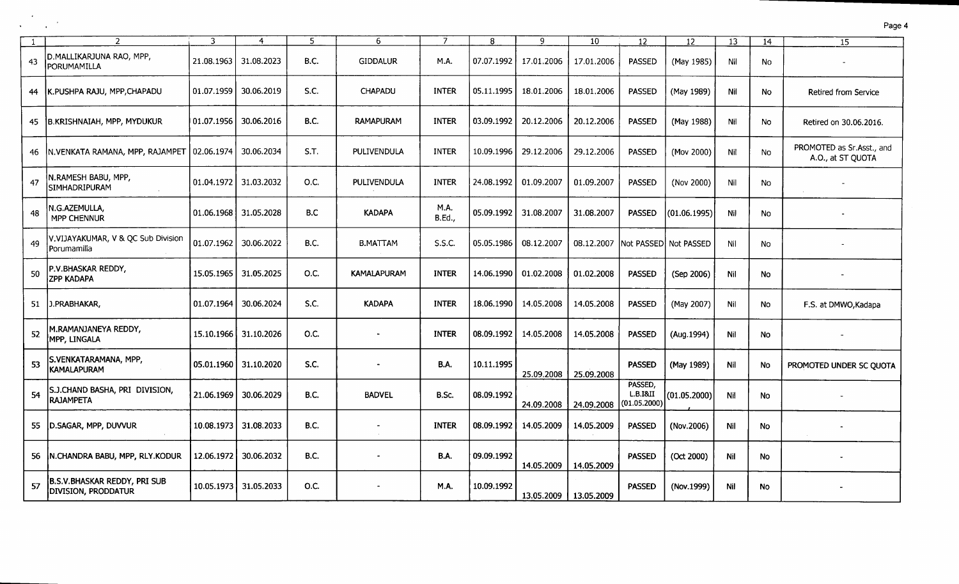|    |                                                                   |            | 4          | 5           | 6                        |                       | 8          | $\mathbf{Q}$ | 10                                 | 12                                  | 12           | 13  | 14        | 15                                             |
|----|-------------------------------------------------------------------|------------|------------|-------------|--------------------------|-----------------------|------------|--------------|------------------------------------|-------------------------------------|--------------|-----|-----------|------------------------------------------------|
| 43 | D.MALLIKARJUNA RAO, MPP,<br>PORUMAMILLA                           | 21.08.1963 | 31.08.2023 | B.C.        | <b>GIDDALUR</b>          | M.A.                  | 07.07.1992 | 17.01.2006   | 17.01.2006                         | <b>PASSED</b>                       | (May 1985)   | Nil | No        |                                                |
| 44 | K.PUSHPA RAJU, MPP,CHAPADU                                        | 01.07.1959 | 30.06.2019 | S.C.        | <b>CHAPADU</b>           | <b>INTER</b>          | 05.11.1995 | 18.01.2006   | 18.01.2006                         | PASSED                              | (May 1989)   | Nil | No        | Retired from Service                           |
| 45 | B.KRISHNAIAH, MPP, MYDUKUR                                        | 01.07.1956 | 30.06.2016 | B.C.        | <b>RAMAPURAM</b>         | <b>INTER</b>          | 03.09.1992 | 20.12.2006   | 20.12.2006                         | <b>PASSED</b>                       | (May 1988)   | Nil | No        | Retired on 30.06.2016.                         |
|    | 46 N. VENKATA RAMANA, MPP, RAJAMPET                               | 02.06.1974 | 30.06.2034 | S.T.        | PULIVENDULA              | <b>INTER</b>          | 10.09.1996 | 29.12.2006   | 29.12.2006                         | PASSED                              | (Mov 2000)   | Nil | No        | PROMOTED as Sr.Asst., and<br>A.O., at ST QUOTA |
| 47 | N.RAMESH BABU, MPP,<br><b>SIMHADRIPURAM</b>                       | 01.04.1972 | 31.03.2032 | 0.C.        | PULIVENDULA              | <b>INTER</b>          | 24.08.1992 | 01.09.2007   | 01.09.2007                         | <b>PASSED</b>                       | (Nov 2000)   | Nil | No        |                                                |
| 48 | N.G.AZEMULLA,<br><b>MPP CHENNUR</b>                               | 01.06.1968 | 31.05.2028 | B.C         | <b>KADAPA</b>            | M.A.<br><b>B.Ed.,</b> | 05.09.1992 | 31.08.2007   | 31.08.2007                         | <b>PASSED</b>                       | (01.06.1995) | Nil | <b>No</b> |                                                |
| 49 | V.VIJAYAKUMAR, V & QC Sub Division<br>Porumamilla                 | 01.07.1962 | 30.06.2022 | <b>B.C.</b> | <b>B.MATTAM</b>          | S.S.C.                | 05.05.1986 | 08.12.2007   | 08.12.2007 INot PASSEDI Not PASSED |                                     |              | Nil | No        |                                                |
| 50 | P.V.BHASKAR REDDY,<br>ZPP KADAPA                                  | 15.05.1965 | 31.05.2025 | O.C.        | <b>KAMALAPURAM</b>       | <b>INTER</b>          | 14.06.1990 | 01.02.2008   | 01.02.2008                         | <b>PASSED</b>                       | (Sep 2006)   | Nil | No        |                                                |
|    | 51 J.PRABHAKAR,                                                   | 01.07.1964 | 30.06.2024 | S.C.        | <b>KADAPA</b>            | <b>INTER</b>          | 18.06.1990 | 14.05.2008   | 14.05.2008                         | <b>PASSED</b>                       | (May 2007)   | Nil | No        | F.S. at DMWO, Kadapa                           |
| 52 | M.RAMANJANEYA REDDY,<br>MPP, LINGALA                              | 15.10.1966 | 31.10.2026 | O.C.        |                          | <b>INTER</b>          | 08.09.1992 | 14.05.2008   | 14.05.2008                         | <b>PASSED</b>                       | (Aug.1994)   | Nil | No        |                                                |
| 53 | S.VENKATARAMANA, MPP,<br>KAMALAPURAM                              | 05.01.1960 | 31.10.2020 | S.C.        |                          | <b>B.A.</b>           | 10.11.1995 | 25.09.2008   | 25.09.2008                         | <b>PASSED</b>                       | (May 1989)   | Nil | No        | PROMOTED UNDER SC QUOTA                        |
| 54 | S.J.CHAND BASHA, PRI DIVISION,<br><b>RAJAMPETA</b>                | 21.06.1969 | 30.06.2029 | <b>B.C.</b> | <b>BADVEL</b>            | B.Sc.                 | 08.09.1992 | 24.09.2008   | 24.09.2008                         | PASSED,<br>L.B.I8JI<br>(01.05.2000) | (01.05.2000) | Nil | No        |                                                |
|    | 55   D.SAGAR, MPP, DUVVUR                                         | 10.08.1973 | 31.08.2033 | <b>B.C.</b> | $\overline{\phantom{a}}$ | <b>INTER</b>          | 08.09.1992 | 14.05.2009   | 14.05.2009                         | <b>PASSED</b>                       | (Nov.2006)   | Nil | No        |                                                |
|    | 56   N.CHANDRA BABU, MPP, RLY.KODUR                               | 12.06.1972 | 30.06.2032 | <b>B.C.</b> | $\tilde{\phantom{a}}$    | <b>B.A.</b>           | 09.09.1992 | 14.05.2009   | 14.05.2009                         | <b>PASSED</b>                       | (Oct 2000)   | Nil | No        |                                                |
| 57 | <b>B.S.V.BHASKAR REDDY, PRI SUB</b><br><b>DIVISION, PRODDATUR</b> | 10.05.1973 | 31.05.2033 | O.C.        |                          | <b>M.A.</b>           | 10.09.1992 | 13.05.2009   | 13.05.2009                         | <b>PASSED</b>                       | (Nov.1999)   | Nil | <b>No</b> |                                                |

 $\sim$ 

 $\sim$ 

 $\frac{1}{2}$  ,  $\frac{1}{2}$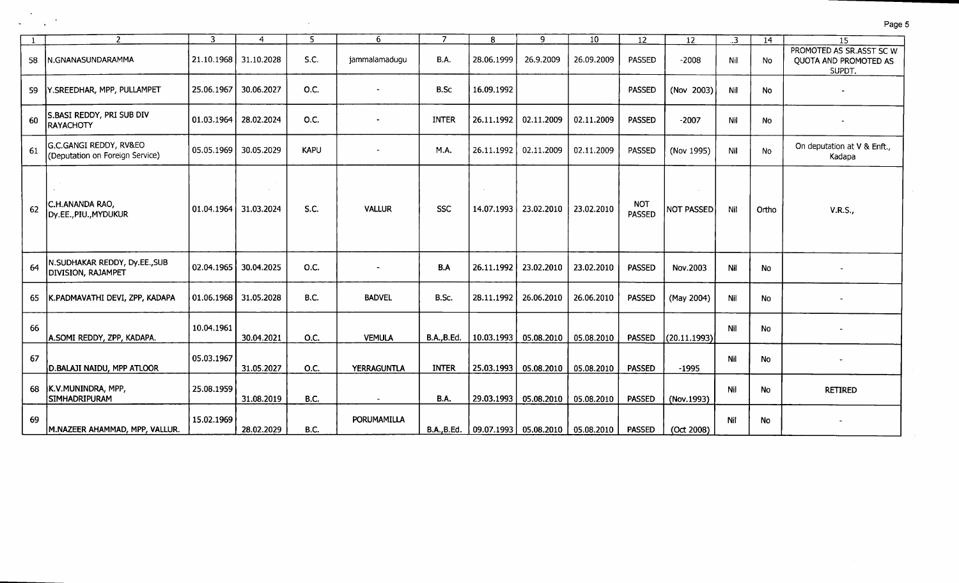| -1 | $\overline{2}$                                            | 3          | $\overline{4}$ | 5           | 6                  | 7                  | 8          | 9                                                  | 10         | 12                          | 12                | :3  | 14        | 15                                                          |
|----|-----------------------------------------------------------|------------|----------------|-------------|--------------------|--------------------|------------|----------------------------------------------------|------------|-----------------------------|-------------------|-----|-----------|-------------------------------------------------------------|
| 58 | N.GNANASUNDARAMMA                                         | 21.10.1968 | 31.10.2028     | S.C.        | jammalamadugu      | <b>B.A.</b>        | 28.06.1999 | 26.9.2009                                          | 26.09.2009 | <b>PASSED</b>               | $-2008$           | Nil | <b>No</b> | PROMOTED AS SR.ASST SC W<br>QUOTA AND PROMOTED AS<br>SUPDT. |
| 59 | Y.SREEDHAR, MPP, PULLAMPET                                | 25.06.1967 | 30.06.2027     | O.C.        |                    | B.Sc               | 16.09.1992 |                                                    |            | <b>PASSED</b>               | (Nov 2003)        | Nil | <b>No</b> |                                                             |
| 60 | S.BASI REDDY, PRI SUB DIV<br><b>RAYACHOTY</b>             | 01.03.1964 | 28.02.2024     | O.C.        |                    | <b>INTER</b>       | 26.11.1992 | 02.11.2009                                         | 02.11.2009 | <b>PASSED</b>               | $-2007$           | Nil | <b>No</b> |                                                             |
| 61 | G.C.GANGI REDDY, RV&EO<br>(Deputation on Foreign Service) | 05.05.1969 | 30.05.2029     | <b>KAPU</b> |                    | M.A.               | 26.11.1992 | 02.11.2009                                         | 02.11.2009 | PASSED                      | (Nov 1995)        | Nil | No        | On deputation at V & Enft.,<br>Kadapa                       |
| 62 | C.H.ANANDA RAO,<br>Dy.EE., PIU., MYDUKUR                  | 01.04.1964 | 31.03.2024     | S.C.        | <b>VALLUR</b>      | <b>SSC</b>         | 14.07.1993 | 23.02.2010                                         | 23.02.2010 | <b>NOT</b><br><b>PASSED</b> | <b>NOT PASSED</b> | Nil | Ortho     | <b>V.R.S.,</b>                                              |
| 64 | N.SUDHAKAR REDDY, Dy.EE.,SUB<br>DIVISION, RAJAMPET        | 02.04.1965 | 30.04.2025     | O.C.        |                    | B.A                | 26.11.1992 | 23.02.2010                                         | 23.02.2010 | <b>PASSED</b>               | Nov.2003          | Nil | No        |                                                             |
| 65 | K.PADMAVATHI DEVI, ZPP, KADAPA                            | 01.06.1968 | 31.05.2028     | B.C.        | <b>BADVEL</b>      | B.Sc.              | 28.11.1992 | 26.06.2010                                         | 26.06.2010 | <b>PASSED</b>               | (May 2004)        | Nil | No        |                                                             |
| 66 | A.SOMI REDDY, ZPP, KADAPA.                                | 10.04.1961 | 30.04.2021     | O.C.        | <b>VEMULA</b>      | <b>B.A., B.Ed.</b> | 10.03.1993 | 05.08.2010                                         | 05.08.2010 | PASSED                      | (20.11.1993)      | Nil | No        |                                                             |
| 67 | D.BALAJI NAIDU, MPP ATLOOR                                | 05.03.1967 | 31.05.2027     | O.C.        | <b>YERRAGUNTLA</b> | <b>INTER</b>       | 25.03.1993 | 05.08.2010                                         | 05.08.2010 | <b>PASSED</b>               | $-1995$           | Nil | <b>No</b> |                                                             |
|    | 68 K.V.MUNINDRA, MPP,<br>SIMHADRIPURAM                    | 25.08.1959 | 31.08.2019     | <b>B.C.</b> | $\sim$             | <b>B.A.</b>        | 29.03.1993 | 05.08.2010                                         | 05.08.2010 | <b>PASSED</b>               | (Nov.1993)        | Nil | No        | <b>RETIRED</b>                                              |
| 69 | M.NAZEER AHAMMAD, MPP, VALLUR.                            | 15.02.1969 | 28.02.2029     | <b>B.C.</b> | PORUMAMILLA        |                    |            | B.A., B.Ed.   09.07.1993   05.08.2010   05.08.2010 |            | <b>PASSED</b>               | (Oct 2008)        | Nil | No        |                                                             |

 $\sim 10^7$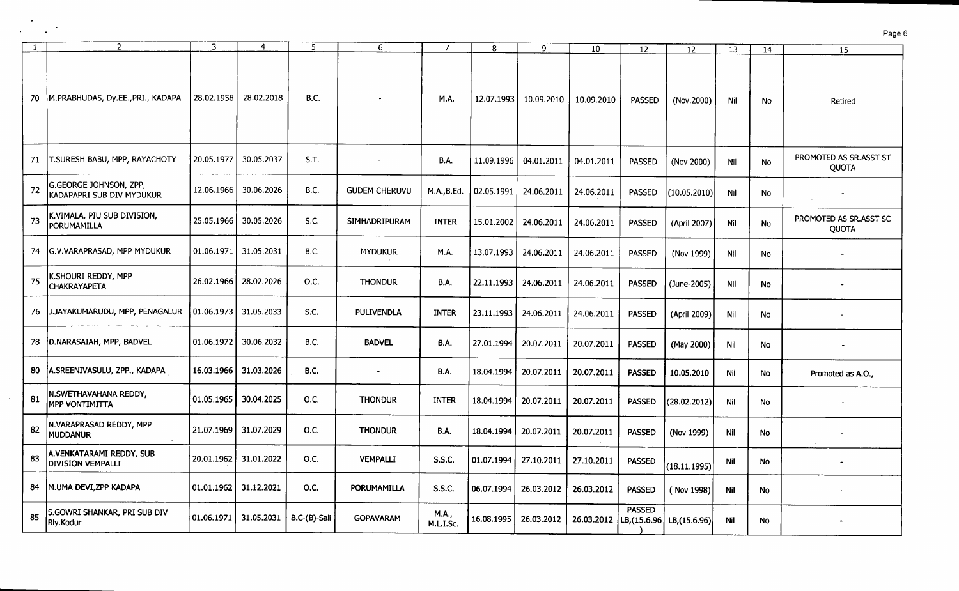|    | $\overline{2}$                                      | 3          | 4          | 5            | 6                    | 7                  | 8          | 9          | 10                      | 12            | 12            | 13         | 14        | 15                                     |
|----|-----------------------------------------------------|------------|------------|--------------|----------------------|--------------------|------------|------------|-------------------------|---------------|---------------|------------|-----------|----------------------------------------|
|    | 70   M.PRABHUDAS, Dy.EE., PRI., KADAPA              | 28.02.1958 | 28.02.2018 | <b>B.C.</b>  |                      | M.A.               | 12.07.1993 | 10.09.2010 | 10.09.2010              | PASSED        | (Nov.2000)    | Nil        | No        | Retired                                |
| 71 | <b>T.SURESH BABU, MPP, RAYACHOTY</b>                | 20.05.1977 | 30.05.2037 | S.T.         | $\blacksquare$       | <b>B.A.</b>        | 11.09.1996 | 04.01.2011 | 04.01.2011              | <b>PASSED</b> | (Nov 2000)    | Nil        | No        | PROMOTED AS SR.ASST ST<br><b>QUOTA</b> |
| 72 | G.GEORGE JOHNSON, ZPP,<br>KADAPAPRI SUB DIV MYDUKUR | 12.06.1966 | 30.06.2026 | B.C.         | <b>GUDEM CHERUVU</b> | M.A., B.Ed.        | 02.05.1991 | 24.06.2011 | 24.06.2011              | <b>PASSED</b> | (10.05.2010)  | <b>Nil</b> | <b>No</b> |                                        |
| 73 | K.VIMALA, PIU SUB DIVISION,<br>PORUMAMILLA          | 25.05.1966 | 30.05.2026 | S.C.         | <b>SIMHADRIPURAM</b> | <b>INTER</b>       | 15.01.2002 | 24.06.2011 | 24.06.2011              | <b>PASSED</b> | (April 2007)  | Nil        | No        | PROMOTED AS SR.ASST SC<br><b>QUOTA</b> |
| 74 | G.V.VARAPRASAD, MPP MYDUKUR                         | 01.06.1971 | 31.05.2031 | <b>B.C.</b>  | <b>MYDUKUR</b>       | M.A.               | 13.07.1993 | 24.06.2011 | 24.06.2011              | PASSED        | (Nov 1999)    | Nil        | No        |                                        |
| 75 | K.SHOURI REDDY, MPP<br><b>CHAKRAYAPETA</b>          | 26.02.1966 | 28.02.2026 | O.C.         | <b>THONDUR</b>       | B.A.               | 22.11.1993 | 24.06.2011 | 24.06.2011              | <b>PASSED</b> | (June-2005)   | Nil        | No        |                                        |
| 76 | J.JAYAKUMARUDU, MPP, PENAGALUR                      | 01.06.1973 | 31.05.2033 | S.C.         | <b>PULIVENDLA</b>    | <b>INTER</b>       | 23.11.1993 | 24.06.2011 | 24.06.2011              | <b>PASSED</b> | (April 2009)  | Nil        | No        |                                        |
| 78 | D.NARASAIAH, MPP, BADVEL                            | 01.06.1972 | 30.06.2032 | B.C.         | <b>BADVEL</b>        | B.A.               | 27.01.1994 | 20.07.2011 | 20.07.2011              | <b>PASSED</b> | (May 2000)    | Nil        | No        |                                        |
| 80 | <b>A.SREENIVASULU, ZPP., KADAPA</b>                 | 16.03.1966 | 31.03.2026 | B.C.         | $\blacksquare$       | <b>B.A.</b>        | 18.04.1994 | 20.07.2011 | 20.07.2011              | <b>PASSED</b> | 10.05.2010    | Nil        | No        | Promoted as A.O.,                      |
| 81 | N.SWETHAVAHANA REDDY,<br><b>MPP VONTIMITTA</b>      | 01.05.1965 | 30.04.2025 | 0.C.         | <b>THONDUR</b>       | <b>INTER</b>       | 18.04.1994 | 20.07.2011 | 20.07.2011              | <b>PASSED</b> | (28.02.2012)  | Nil        | <b>No</b> |                                        |
| 82 | N.VARAPRASAD REDDY, MPP<br><b>MUDDANUR</b>          | 21.07.1969 | 31.07.2029 | O.C.         | <b>THONDUR</b>       | <b>B.A.</b>        | 18.04.1994 | 20.07.2011 | 20.07.2011              | <b>PASSED</b> | (Nov 1999)    | Nil        | No        |                                        |
| 83 | A.VENKATARAMI REDDY, SUB<br>DIVISION VEMPALLI       | 20.01.1962 | 31.01.2022 | O.C.         | <b>VEMPALLI</b>      | S.S.C.             | 01.07.1994 | 27.10.2011 | 27.10.2011              | <b>PASSED</b> | (18.11.1995)  | Nil        | No        |                                        |
| 84 | M.UMA DEVI, ZPP KADAPA                              | 01.01.1962 | 31.12.2021 | 0.C.         | PORUMAMILLA          | S.S.C.             | 06.07.1994 | 26.03.2012 | 26.03.2012              | <b>PASSED</b> | (Nov 1998)    | Nil        | No        |                                        |
| 85 | S.GOWRI SHANKAR, PRI SUB DIV<br>Rly.Kodur           | 01.06.1971 | 31.05.2031 | B.C-(B)-Sali | <b>GOPAVARAM</b>     | M.A.,<br>M.L.I.Sc. | 16.08.1995 | 26.03.2012 | 26.03.2012  LB,(15.6.96 | <b>PASSED</b> | LB, (15.6.96) | Nil        | <b>No</b> |                                        |

 $\sim$  $\mathcal{A}^{\pm}$ 

 $\sim$   $\sim$ 

 $\epsilon$  $\sim$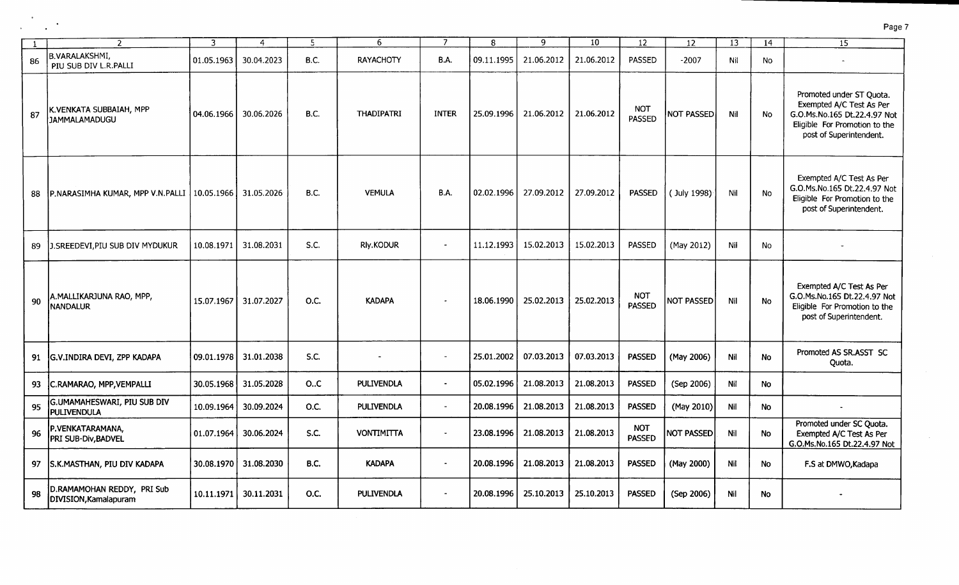|     | $\mathcal{P}$                                       | 3          | $\overline{4}$ | 5           | 6                 | 7                        | R          | 9          | 10         | 12                          | 12                | 13  | 14        | $\overline{15}$                                                                                                                                  |
|-----|-----------------------------------------------------|------------|----------------|-------------|-------------------|--------------------------|------------|------------|------------|-----------------------------|-------------------|-----|-----------|--------------------------------------------------------------------------------------------------------------------------------------------------|
| 86  | B.VARALAKSHMI,<br>PIU SUB DIV L.R.PALLI             | 01.05.1963 | 30.04.2023     | B.C.        | <b>RAYACHOTY</b>  | <b>B.A.</b>              | 09.11.1995 | 21.06.2012 | 21.06.2012 | <b>PASSED</b>               | $-2007$           | Nil | No        |                                                                                                                                                  |
| -87 | K.VENKATA SUBBAIAH, MPP<br>l JAMMALAMADUGU          | 04.06.1966 | 30.06.2026     | B.C.        | <b>THADIPATRI</b> | <b>INTER</b>             | 25.09.1996 | 21.06.2012 | 21.06.2012 | <b>NOT</b><br><b>PASSED</b> | NOT PASSED        | Nil | <b>No</b> | Promoted under ST Quota.<br>Exempted A/C Test As Per<br>G.O.Ms.No.165 Dt.22.4.97 Not<br>Eligible For Promotion to the<br>post of Superintendent. |
| 88  | P.NARASIMHA KUMAR, MPP V.N.PALLI   10.05.1966       |            | 31.05.2026     | B.C.        | <b>VEMULA</b>     | <b>B.A.</b>              | 02.02.1996 | 27.09.2012 | 27.09.2012 | <b>PASSED</b>               | (July 1998)       | Nil | No        | Exempted A/C Test As Per<br>G.O.Ms.No.165 Dt.22.4.97 Not<br>Eligible For Promotion to the<br>post of Superintendent.                             |
| 89  | J.SREEDEVI, PIU SUB DIV MYDUKUR                     | 10.08.1971 | 31.08.2031     | S.C.        | Rly.KODUR         |                          | 11.12.1993 | 15.02.2013 | 15.02.2013 | <b>PASSED</b>               | (May 2012)        | Nil | No        |                                                                                                                                                  |
| 90  | A.MALLIKARJUNA RAO, MPP,<br>NANDALUR                | 15.07.1967 | 31.07.2027     | O.C.        | <b>KADAPA</b>     |                          | 18.06.1990 | 25.02.2013 | 25.02.2013 | <b>NOT</b><br><b>PASSED</b> | <b>NOT PASSED</b> | Nil | <b>No</b> | Exempted A/C Test As Per<br>G.O.Ms.No.165 Dt.22.4.97 Not<br>Eligible For Promotion to the<br>post of Superintendent.                             |
| 91  | G.V.INDIRA DEVI, ZPP KADAPA                         | 09.01.1978 | 31.01.2038     | <b>S.C.</b> | $\blacksquare$    | $\blacksquare$           | 25.01.2002 | 07.03.2013 | 07.03.2013 | <b>PASSED</b>               | (May 2006)        | Nil | <b>No</b> | Promoted AS SR.ASST SC<br>Quota.                                                                                                                 |
| 93  | C.RAMARAO, MPP, VEMPALLI                            | 30.05.1968 | 31.05.2028     | O.C         | <b>PULIVENDLA</b> |                          | 05.02.1996 | 21.08.2013 | 21.08.2013 | <b>PASSED</b>               | (Sep 2006)        | Nil | No        |                                                                                                                                                  |
| 95  | G.UMAMAHESWARI, PIU SUB DIV<br><b>PULIVENDULA</b>   | 10.09.1964 | 30.09.2024     | O.C.        | <b>PULIVENDLA</b> | $\sim$                   | 20.08.1996 | 21.08.2013 | 21.08.2013 | <b>PASSED</b>               | (May 2010)        | Nil | No        |                                                                                                                                                  |
| 96  | P.VENKATARAMANA,<br>PRI SUB-Div, BADVEL             | 01.07.1964 | 30.06.2024     | S.C.        | <b>VONTIMITTA</b> | $\overline{\phantom{a}}$ | 23.08.1996 | 21.08.2013 | 21.08.2013 | <b>NOT</b><br><b>PASSED</b> | NOT PASSED        | Nil | <b>No</b> | Promoted under SC Quota.<br>Exempted A/C Test As Per<br>G.O.Ms.No.165 Dt.22.4.97 Not                                                             |
| 97  | S.K.MASTHAN, PIU DIV KADAPA                         | 30.08.1970 | 31.08.2030     | B.C.        | <b>KADAPA</b>     | $\blacksquare$           | 20.08.1996 | 21.08.2013 | 21.08.2013 | <b>PASSED</b>               | (May 2000)        | Nil | No        | F.S at DMWO, Kadapa                                                                                                                              |
| 98  | D.RAMAMOHAN REDDY, PRI Sub<br>DIVISION, Kamalapuram | 10.11.1971 | 30.11.2031     | O.C.        | <b>PULIVENDLA</b> | $\blacksquare$           | 20.08.1996 | 25.10.2013 | 25.10.2013 | <b>PASSED</b>               | (Sep 2006)        | Nil | No.       |                                                                                                                                                  |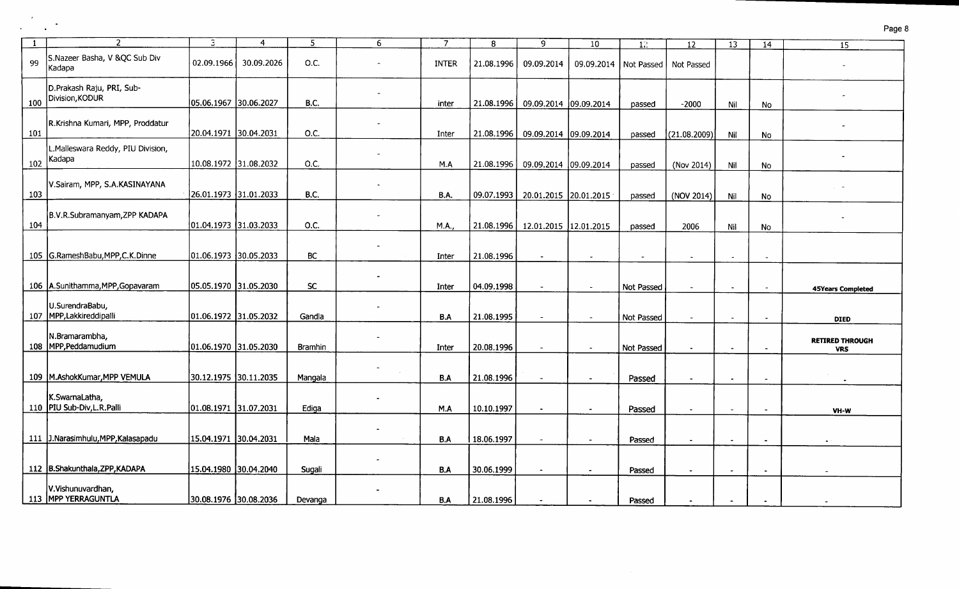| -1  | $\mathcal{P}$                                 | 3                     | $\overline{4}$ | 5           | 6 | 7            | 8          | 9                     | 10                      | 12                       | 12                       | 13             | 14             | $\overline{15}$                      |
|-----|-----------------------------------------------|-----------------------|----------------|-------------|---|--------------|------------|-----------------------|-------------------------|--------------------------|--------------------------|----------------|----------------|--------------------------------------|
| 99  | S.Nazeer Basha, V &QC Sub Div<br> Kadapa      | 02.09.1966            | 30.09.2026     | O.C.        |   | <b>INTER</b> | 21.08.1996 | 09.09.2014            | 09.09.2014   Not Passed |                          | Not Passed               |                |                |                                      |
| 100 | D.Prakash Raju, PRI, Sub-<br>Division, KODUR  | 05.06.1967 30.06.2027 |                | <b>B.C.</b> |   | inter        | 21.08.1996 | 09.09.2014 09.09.2014 |                         | passed                   | $-2000$                  | Nil            | No             |                                      |
| 101 | R.Krishna Kumari, MPP, Proddatur              | 20.04.1971 30.04.2031 |                | O.C.        |   | Inter        | 21.08.1996 | 09.09.2014 09.09.2014 |                         | passed                   | (21.08.2009)             | Nil            | No             |                                      |
| 102 | .Malleswara Reddy, PIU Division,<br>Kadapa    | 10.08.1972 31.08.2032 |                | O.C.        |   | M.A          | 21.08.1996 | 09.09.2014 09.09.2014 |                         | passed                   | (Nov 2014)               | Nil            | No             |                                      |
| 103 | V.Sairam, MPP, S.A.KASINAYANA                 | 26.01.1973 31.01.2033 |                | <b>B.C.</b> |   | B.A.         | 09.07.1993 | 20.01.2015 20.01.2015 |                         | passed                   | (NOV 2014)               | Nil            | No             |                                      |
| 104 | B.V.R.Subramanyam, ZPP KADAPA                 | 01.04.1973 31.03.2033 |                | 0.C.        |   | <b>M.A.</b>  | 21.08.1996 | 12.01.2015 12.01.2015 |                         | passed                   | 2006                     | Nil            | <b>No</b>      |                                      |
|     | 105 G.RameshBabu, MPP, C.K.Dinne              | 01.06.1973 30.05.2033 |                | BC          |   | Inter        | 21.08.1996 | $\sim$                | $\sim$                  | $\overline{\phantom{a}}$ | $\overline{a}$           | $\blacksquare$ |                |                                      |
|     | 106 A.Sunithamma, MPP, Gopavaram              | 05.05.1970 31.05.2030 |                | <b>SC</b>   |   | Inter        | 04.09.1998 | $\blacksquare$        | $\sim$                  | Not Passed               |                          |                |                | <b>45Years Completed</b>             |
|     | U.SurendraBabu,<br>107   MPP, Lakkireddipalli | 01.06.1972 31.05.2032 |                | Gandla      |   | B.A          | 21.08.1995 | $\blacksquare$        | $\sim$                  | Not Passed               |                          |                |                | <b>DIED</b>                          |
|     | N.Bramarambha,<br>108 MPP, Peddamudium        | 01.06.1970 31.05.2030 |                | Bramhin     |   | Inter        | 20.08.1996 | $\sim$                | $\sim$                  | Not Passed               | $\blacksquare$           | $\blacksquare$ |                | <b>RETIRED THROUGH</b><br><b>VRS</b> |
|     | 109 M.AshokKumar, MPP VEMULA                  | 30.12.1975 30.11.2035 |                | Mangala     |   | B.A          | 21.08.1996 | $\sim$                | $\sim$                  | Passed                   | $\sim$                   | $\sim$         | $\overline{a}$ |                                      |
|     | K.SwarnaLatha,<br>110 PIU Sub-Div, L.R. Palli | 01.08.1971 31.07.2031 |                | Ediga       |   | M.A          | 10.10.1997 | $\blacksquare$        |                         | Passed                   | $\overline{\phantom{a}}$ |                | $\sim$         | VH-W                                 |
|     | 111 J.Narasimhulu, MPP, Kalasapadu            | 15.04.1971 30.04.2031 |                | Mala        |   | B.A          | 18.06.1997 | $\sim$                |                         | Passed                   |                          |                | $\blacksquare$ |                                      |
|     | 112 B.Shakunthala, ZPP, KADAPA                | 15.04.1980 30.04.2040 |                | Sugali      |   | B.A          | 30.06.1999 | $\blacksquare$        | $\blacksquare$          | Passed                   |                          |                |                |                                      |
|     | V.Vishunuvardhan,<br>113 MPP YERRAGUNTLA      | 30.08.1976 30.08.2036 |                | Devanga     |   | <b>B.A</b>   | 21.08.1996 |                       |                         | Passed                   |                          |                |                |                                      |

 $\sim$   $^{\prime}$ 

 $\mathcal{L}^{\mathcal{L}}$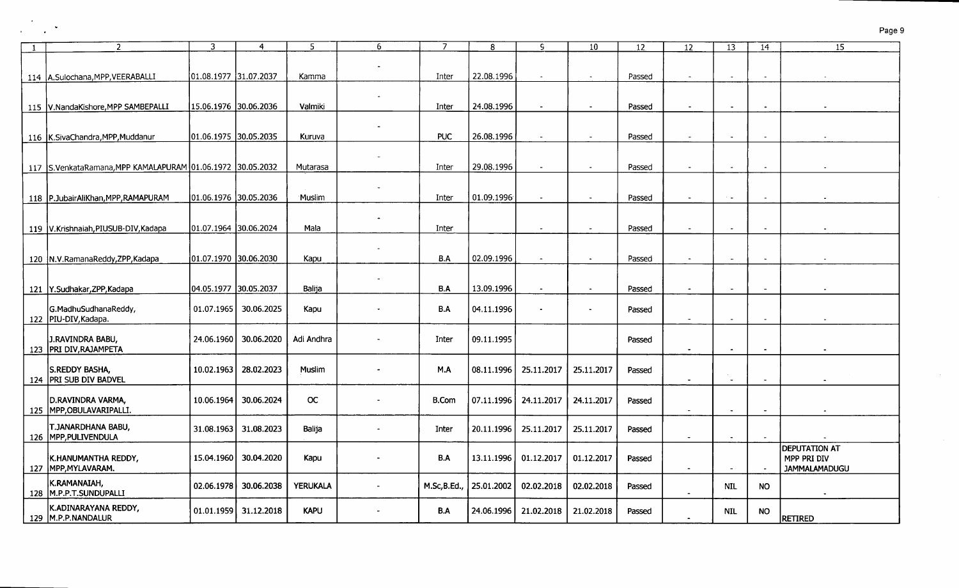| $\mathbf{1}$ | $\overline{2}$                                             | 3                     | $\overline{4}$        | 5               | 6 | 7            | 8          | ç                        | 10                       | 12     | $12 \overline{ }$        | 13                       | 14                       | $\overline{15}$                                             |
|--------------|------------------------------------------------------------|-----------------------|-----------------------|-----------------|---|--------------|------------|--------------------------|--------------------------|--------|--------------------------|--------------------------|--------------------------|-------------------------------------------------------------|
|              |                                                            |                       |                       |                 |   |              |            |                          |                          |        |                          |                          |                          |                                                             |
|              | 114 A.Sulochana, MPP, VEERABALLI                           | 01.08.1977 31.07.2037 |                       | Kamma           |   | Inter        | 22.08.1996 | $\overline{\phantom{a}}$ | $\sim$                   | Passed | $\tilde{\phantom{a}}$    | $\sim$                   | $\sim$                   |                                                             |
|              |                                                            |                       |                       |                 |   |              |            |                          |                          |        |                          |                          |                          |                                                             |
|              | 115 V.NandaKishore, MPP SAMBEPALLI                         | 15.06.1976 30.06.2036 |                       | Valmiki         |   | Inter        | 24.08.1996 | $\blacksquare$           | $\sim$                   | Passed | $\blacksquare$           | $\omega$                 | $\sim$                   |                                                             |
|              | 116 K.SivaChandra, MPP, Muddanur                           | 01.06.1975 30.05.2035 |                       | Kuruva          |   | <b>PUC</b>   | 26.08.1996 |                          |                          | Passed |                          |                          | $\tilde{\phantom{a}}$    |                                                             |
|              | 117 S.VenkataRamana, MPP KAMALAPURAM 01.06.1972 30.05.2032 |                       |                       | Mutarasa        |   | Inter        | 29.08.1996 |                          | $\sim$                   | Passed |                          |                          | $\overline{\phantom{a}}$ |                                                             |
|              | 118   P.JubairAliKhan, MPP, RAMAPURAM                      | 01.06.1976 30.05.2036 |                       | Muslim          |   | Inter        | 01.09.1996 | $\sim$                   | $\sim$                   | Passed |                          | $\sim$ $\sim$            | $\sim$                   |                                                             |
|              | 119   V.Krishnaiah, PIUSUB-DIV, Kadapa                     | 01.07.1964 30.06.2024 |                       | Mala            |   | Inter        |            | $\overline{\phantom{a}}$ | $\overline{\phantom{a}}$ | Passed | $\overline{\phantom{a}}$ | $\sim$                   | $\sim$                   |                                                             |
|              | 120 N.V.RamanaReddy, ZPP, Kadapa                           | 01.07.1970 30.06.2030 |                       | Kapu            |   | B.A          | 02.09.1996 | $\sim$                   | $\bullet$                | Passed |                          |                          | $\overline{\phantom{a}}$ |                                                             |
|              | 121   Y.Sudhakar, ZPP, Kadapa                              | 04.05.1977 30.05.2037 |                       | Balija          |   | B.A          | 13.09.1996 | $\sim$                   | $\blacksquare$           | Passed | $\blacksquare$           | $\sim$                   | $\sim$                   |                                                             |
|              | G.MadhuSudhanaReddy,<br>122   PIU-DIV, Kadapa.             |                       | 01.07.1965 30.06.2025 | Kapu            |   | B.A          | 04.11.1996 |                          |                          | Passed | $\overline{\phantom{a}}$ |                          | $\sim$                   |                                                             |
|              | J.RAVINDRA BABU,<br>123 PRI DIV, RAJAMPETA                 |                       | 24.06.1960 30.06.2020 | Adi Andhra      |   | Inter        | 09.11.1995 |                          |                          | Passed | $\blacksquare$           |                          |                          |                                                             |
|              | S.REDDY BASHA,<br>124   PRI SUB DIV BADVEL                 | 10.02.1963            | 28.02.2023            | Muslim          |   | M.A          | 08.11.1996 | 25.11.2017               | 25.11.2017               | Passed |                          | $\sim$                   | $\sim$                   |                                                             |
|              | D.RAVINDRA VARMA,<br>125   MPP, OBULAVARIPALLI.            | 10.06.1964            | 30.06.2024            | OC.             |   | <b>B.Com</b> | 07.11.1996 | 24.11.2017               | 24.11.2017               | Passed | $\sim$                   | $\blacksquare$           | $\overline{\phantom{a}}$ |                                                             |
|              | T.JANARDHANA BABU,<br>126 MPP, PULIVENDULA                 | 31.08.1963            | 31.08.2023            | Balija          |   | Inter        | 20.11.1996 | 25.11.2017               | 25.11.2017               | Passed | $\sim$                   | $\blacksquare$           |                          |                                                             |
|              | K.HANUMANTHA REDDY,<br>127   MPP, MYLAVARAM.               |                       | 15.04.1960 30.04.2020 | Kapu            |   | B.A          | 13.11.1996 | 01.12.2017               | 01.12.2017               | Passed | $\blacksquare$           | $\overline{\phantom{a}}$ | $\overline{\phantom{a}}$ | <b>DEPUTATION AT</b><br>MPP PRI DIV<br><b>JAMMALAMADUGU</b> |
|              | K.RAMANAIAH,<br>128 M.P.P.T.SUNDUPALLI                     |                       | 02.06.1978 30.06.2038 | <b>YERUKALA</b> |   | M.Sc,B.Ed.,  | 25.01.2002 | 02.02.2018               | 02.02.2018               | Passed |                          | NIL.                     | NO.                      |                                                             |
|              | K.ADINARAYANA REDDY,<br>129 M.P.P.NANDALUR                 |                       | 01.01.1959 31.12.2018 | <b>KAPU</b>     |   | B.A          |            | 24.06.1996 21.02.2018    | 21.02.2018               | Passed |                          | <b>NIL</b>               | NO.                      | RETIRED                                                     |

 $\sim$